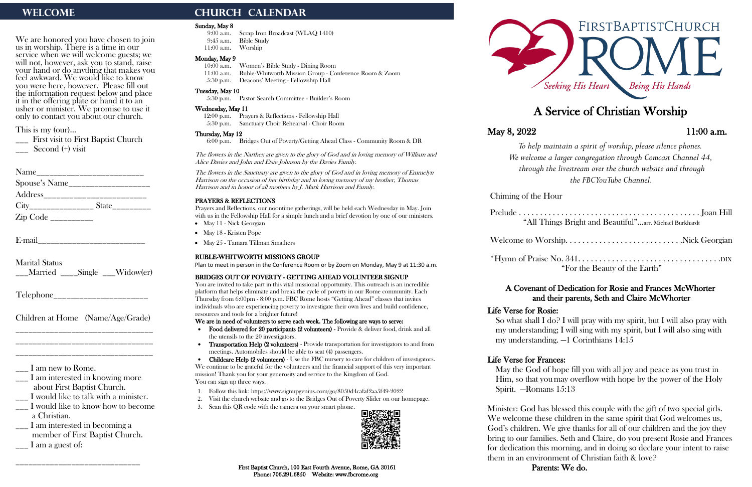We are honored you have chosen to join us in worship. There is a time in our service when we will welcome guests; we will not, however, ask you to stand, raise your hand or do anything that makes you feel awkward. We would like to know you were here, however. Please fill out the information request below and place it in the offering plate or hand it to an usher or minister. We promise to use it only to contact you about our church.

\_\_\_ First visit to First Baptist Church Second (+) visit

| Name                        |                               |
|-----------------------------|-------------------------------|
| Spouse's Name               |                               |
| Address <sub>_____</sub> __ |                               |
|                             | $State$ <sub>__________</sub> |
| Zip Code                    |                               |

E-mail

This is my (our)…

- \_\_\_ I am interested in knowing more about First Baptist Church.
- \_\_\_ I would like to talk with a minister.
- \_\_\_ I would like to know how to become a Christian.
- \_\_\_ I am interested in becoming a member of First Baptist Church.  $\frac{1}{2}$  I am a guest of:

Marital Status \_\_\_Married \_\_\_\_Single \_\_\_Widow(er)

Telephone

Children at Home (Name/Age/Grade) \_\_\_\_\_\_\_\_\_\_\_\_\_\_\_\_\_\_\_\_\_\_\_\_\_\_\_\_\_\_\_\_

\_\_\_\_\_\_\_\_\_\_\_\_\_\_\_\_\_\_\_\_\_\_\_\_\_\_\_\_\_\_\_\_ \_\_\_\_\_\_\_\_\_\_\_\_\_\_\_\_\_\_\_\_\_\_\_\_\_\_\_\_\_\_\_\_

 $\frac{1}{2}$  I am new to Rome.

Prayers and Reflections, our noontime gatherings, will be held each Wednesday in May. Join with us in the Fellowship Hall for a simple lunch and a brief devotion by one of our ministers.

- May 11 Nick Georgian
- May 18 Kristen Pope
- May 25 Tamara Tillman Smathers

\_\_\_\_\_\_\_\_\_\_\_\_\_\_\_\_\_\_\_\_\_\_\_\_\_\_\_\_\_

# WELCOME **CHURCH CALENDAR**

### Sunday, May 8

- 9:00 a.m. Scrap Iron Broadcast (WLAQ 1410) 9:45 a.m. Bible Study
- 11:00 a.m. Worship

## Monday, May 9

10:00 a.m. Women's Bible Study - Dining Room 11:00 a.m. Ruble-Whitworth Mission Group - Conference Room & Zoom 5:30 p.m. Deacons' Meeting - Fellowship Hall

## Tuesday, May 10

5:30 p.m. Pastor Search Committee - Builder's Room

## Wednesday, May 11

12:00 p.m. Prayers & Reflections - Fellowship Hall 5:30 p.m. Sanctuary Choir Rehearsal - Choir Room

## Thursday, May 12

6:00 p.m. Bridges Out of Poverty/Getting Ahead Class - Community Room & DR

- Follow this link: <https://www.signupgenius.com/go/8050d4cafaf2aa5f49-2022>
- Visit the church website and go to the Bridges Out of Poverty Slider on our homepage.
- 3. Scan this QR code with the camera on your smart phone.





## May 8, 2022 11:00 a.m.

The flowers in the Narthex are given to the glory of God and in loving memory of William and Alice Davies and John and Etsie Johnson by the Davies Family.

> First Baptist Church, 100 East Fourth Avenue, Rome, GA 30161 Phone: 706.291.6850 Website: www.fbcrome.org

The flowers in the Sanctuary are given to the glory of God and in loving memory of Emmelyn Harrison on the occasion of her birthday and in loving memory of my brother, Thomas Harrison and in honor of all mothers by J. Mark Harrison and Family.

### PRAYERS & REFLECTIONS

## RUBLE-WHITWORTH MISSIONS GROUP

Plan to meet in person in the Conference Room or by Zoom on Monday, May 9 at 11:30 a.m.

## BRIDGES OUT OF POVERTY - GETTING AHEAD VOLUNTEER SIGNUP

You are invited to take part in this vital missional opportunity. This outreach is an incredible platform that helps eliminate and break the cycle of poverty in our Rome community. Each Thursday from 6:00pm - 8:00 p.m. FBC Rome hosts "Getting Ahead" classes that invites individuals who are experiencing poverty to investigate their own lives and build confidence, resources and tools for a brighter future!

## We are in need of volunteers to serve each week. The following are ways to serve:

- Food delivered for 20 participants (2 volunteers) Provide & deliver food, drink and all the utensils to the 20 investigators.
- Transportation Help (2 volunteers) Provide transportation for investigators to and from meetings. Automobiles should be able to seat (4) passengers.

 Childcare Help (2 volunteers) - Use the FBC nursery to care for children of investigators. We continue to be grateful for the volunteers and the financial support of this very important mission! Thank you for your generosity and service to the Kingdom of God. You can sign up three ways.

# A Service of Christian Worship

*To help maintain a spirit of worship, please silence phones. We welcome a larger congregation through Comcast Channel 44, through the livestream over the church website and through the FBC YouTube Channel.* 

Chiming of the Hour

Prelude . . . . . . . . "All Things".

Welcome to Wora

\*Hymn of Praise I

| ngs Bright and Beautiful"…arr. Michael Burkhardt |
|--------------------------------------------------|
|                                                  |
| "For the Beauty of the Earth"                    |

## A Covenant of Dedication for Rosie and Frances McWhorter and their parents, Seth and Claire McWhorter

## Life Verse for Rosie:

So what shall I do? I will pray with my spirit, but I will also pray with my understanding; I will sing with my spirit, but I will also sing with my understanding. —1 Corinthians 14:15

## Life Verse for Frances:

 May the God of hope fill you with all joy and peace as you trust in Him, so that you may overflow with hope by the power of the Holy Spirit. —Romans 15:13

Minister: God has blessed this couple with the gift of two special girls. We welcome these children in the same spirit that God welcomes us, God's children. We give thanks for all of our children and the joy they bring to our families. Seth and Claire, do you present Rosie and Frances for dedication this morning, and in doing so declare your intent to raise them in an environment of Christian faith & love? Parents: We do.